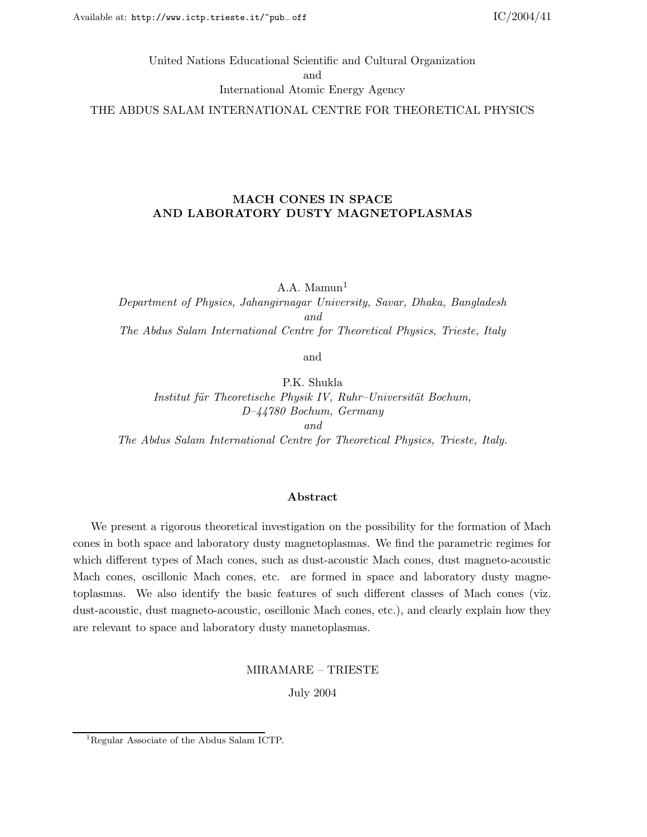# United Nations Educational Scientific and Cultural Organization and International Atomic Energy Agency THE ABDUS SALAM INTERNATIONAL CENTRE FOR THEORETICAL PHYSICS

## MACH CONES IN SPACE AND LABORATORY DUSTY MAGNETOPLASMAS

A.A. Mamun $<sup>1</sup>$ </sup>

Department of Physics, Jahangirnagar University, Savar, Dhaka, Bangladesh and The Abdus Salam International Centre for Theoretical Physics, Trieste, Italy

and

P.K. Shukla Institut für Theoretische Physik IV, Ruhr–Universität Bochum, D–44780 Bochum, Germany and The Abdus Salam International Centre for Theoretical Physics, Trieste, Italy.

#### Abstract

We present a rigorous theoretical investigation on the possibility for the formation of Mach cones in both space and laboratory dusty magnetoplasmas. We find the parametric regimes for which different types of Mach cones, such as dust-acoustic Mach cones, dust magneto-acoustic Mach cones, oscillonic Mach cones, etc. are formed in space and laboratory dusty magnetoplasmas. We also identify the basic features of such different classes of Mach cones (viz. dust-acoustic, dust magneto-acoustic, oscillonic Mach cones, etc.), and clearly explain how they are relevant to space and laboratory dusty manetoplasmas.

MIRAMARE – TRIESTE

July 2004

<sup>1</sup>Regular Associate of the Abdus Salam ICTP.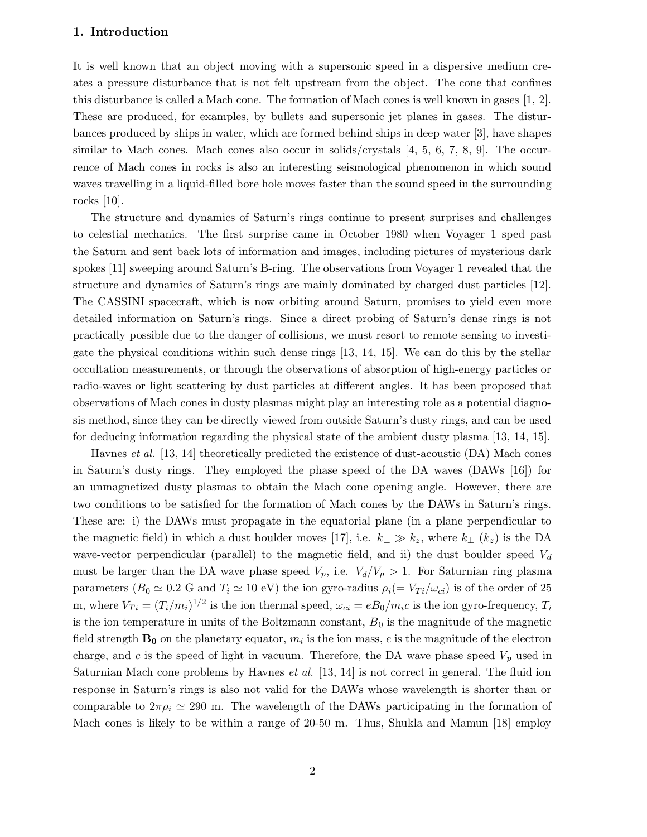## 1. Introduction

It is well known that an object moving with a supersonic speed in a dispersive medium creates a pressure disturbance that is not felt upstream from the object. The cone that confines this disturbance is called a Mach cone. The formation of Mach cones is well known in gases [1, 2]. These are produced, for examples, by bullets and supersonic jet planes in gases. The disturbances produced by ships in water, which are formed behind ships in deep water [3], have shapes similar to Mach cones. Mach cones also occur in solids/crystals [4, 5, 6, 7, 8, 9]. The occurrence of Mach cones in rocks is also an interesting seismological phenomenon in which sound waves travelling in a liquid-filled bore hole moves faster than the sound speed in the surrounding rocks [10].

The structure and dynamics of Saturn's rings continue to present surprises and challenges to celestial mechanics. The first surprise came in October 1980 when Voyager 1 sped past the Saturn and sent back lots of information and images, including pictures of mysterious dark spokes [11] sweeping around Saturn's B-ring. The observations from Voyager 1 revealed that the structure and dynamics of Saturn's rings are mainly dominated by charged dust particles [12]. The CASSINI spacecraft, which is now orbiting around Saturn, promises to yield even more detailed information on Saturn's rings. Since a direct probing of Saturn's dense rings is not practically possible due to the danger of collisions, we must resort to remote sensing to investigate the physical conditions within such dense rings [13, 14, 15]. We can do this by the stellar occultation measurements, or through the observations of absorption of high-energy particles or radio-waves or light scattering by dust particles at different angles. It has been proposed that observations of Mach cones in dusty plasmas might play an interesting role as a potential diagnosis method, since they can be directly viewed from outside Saturn's dusty rings, and can be used for deducing information regarding the physical state of the ambient dusty plasma [13, 14, 15].

Havnes et al. [13, 14] theoretically predicted the existence of dust-acoustic (DA) Mach cones in Saturn's dusty rings. They employed the phase speed of the DA waves (DAWs [16]) for an unmagnetized dusty plasmas to obtain the Mach cone opening angle. However, there are two conditions to be satisfied for the formation of Mach cones by the DAWs in Saturn's rings. These are: i) the DAWs must propagate in the equatorial plane (in a plane perpendicular to the magnetic field) in which a dust boulder moves [17], i.e.  $k_{\perp} \gg k_z$ , where  $k_{\perp}$  ( $k_z$ ) is the DA wave-vector perpendicular (parallel) to the magnetic field, and ii) the dust boulder speed  $V_d$ must be larger than the DA wave phase speed  $V_p$ , i.e.  $V_d/V_p > 1$ . For Saturnian ring plasma parameters  $(B_0 \simeq 0.2$  G and  $T_i \simeq 10$  eV) the ion gyro-radius  $\rho_i (= V_{Ti}/\omega_{ci})$  is of the order of 25 m, where  $V_{Ti} = (T_i/m_i)^{1/2}$  is the ion thermal speed,  $\omega_{ci} = eB_0/m_ic$  is the ion gyro-frequency,  $T_i$ is the ion temperature in units of the Boltzmann constant,  $B_0$  is the magnitude of the magnetic field strength  $\mathbf{B_0}$  on the planetary equator,  $m_i$  is the ion mass,  $e$  is the magnitude of the electron charge, and c is the speed of light in vacuum. Therefore, the DA wave phase speed  $V_p$  used in Saturnian Mach cone problems by Havnes *et al.* [13, 14] is not correct in general. The fluid ion response in Saturn's rings is also not valid for the DAWs whose wavelength is shorter than or comparable to  $2\pi \rho_i \simeq 290$  m. The wavelength of the DAWs participating in the formation of Mach cones is likely to be within a range of 20-50 m. Thus, Shukla and Mamun [18] employ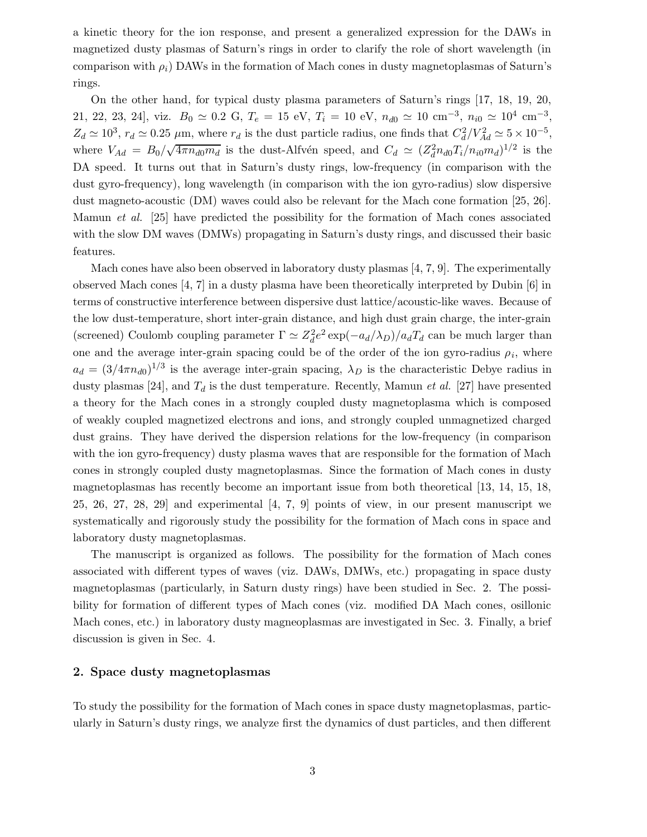a kinetic theory for the ion response, and present a generalized expression for the DAWs in magnetized dusty plasmas of Saturn's rings in order to clarify the role of short wavelength (in comparison with  $\rho_i$ ) DAWs in the formation of Mach cones in dusty magnetoplasmas of Saturn's rings.

On the other hand, for typical dusty plasma parameters of Saturn's rings [17, 18, 19, 20, 21, 22, 23, 24], viz.  $B_0 \simeq 0.2 \text{ G}$ ,  $T_e = 15 \text{ eV}$ ,  $T_i = 10 \text{ eV}$ ,  $n_{d0} \simeq 10 \text{ cm}^{-3}$ ,  $n_{i0} \simeq 10^4 \text{ cm}^{-3}$ ,  $Z_d \simeq 10^3$ ,  $r_d \simeq 0.25 \ \mu \text{m}$ , where  $r_d$  is the dust particle radius, one finds that  $C_d^2$  $\frac{2}{d}/V_{Ad}^2 \simeq 5 \times 10^{-5}$ , where  $V_{Ad} = B_0/\sqrt{4\pi n_{d0}m_d}$  is the dust-Alfvén speed, and  $C_d \simeq (Z_d^2 n_{d0} T_i/n_{i0} m_d)^{1/2}$  is the DA speed. It turns out that in Saturn's dusty rings, low-frequency (in comparison with the dust gyro-frequency), long wavelength (in comparison with the ion gyro-radius) slow dispersive dust magneto-acoustic (DM) waves could also be relevant for the Mach cone formation [25, 26]. Mamun et al. [25] have predicted the possibility for the formation of Mach cones associated with the slow DM waves (DMWs) propagating in Saturn's dusty rings, and discussed their basic features.

Mach cones have also been observed in laboratory dusty plasmas [4, 7, 9]. The experimentally observed Mach cones [4, 7] in a dusty plasma have been theoretically interpreted by Dubin [6] in terms of constructive interference between dispersive dust lattice/acoustic-like waves. Because of the low dust-temperature, short inter-grain distance, and high dust grain charge, the inter-grain (screened) Coulomb coupling parameter  $\Gamma \simeq Z_d^2$  $\int_{d}^{2} e^{2} \exp(-a_{d}/\lambda_{D})/a_{d}T_{d}$  can be much larger than one and the average inter-grain spacing could be of the order of the ion gyro-radius  $\rho_i$ , where  $a_d = (3/4\pi n_{d0})^{1/3}$  is the average inter-grain spacing,  $\lambda_D$  is the characteristic Debye radius in dusty plasmas [24], and  $T_d$  is the dust temperature. Recently, Mamun *et al.* [27] have presented a theory for the Mach cones in a strongly coupled dusty magnetoplasma which is composed of weakly coupled magnetized electrons and ions, and strongly coupled unmagnetized charged dust grains. They have derived the dispersion relations for the low-frequency (in comparison with the ion gyro-frequency) dusty plasma waves that are responsible for the formation of Mach cones in strongly coupled dusty magnetoplasmas. Since the formation of Mach cones in dusty magnetoplasmas has recently become an important issue from both theoretical [13, 14, 15, 18, 25, 26, 27, 28, 29] and experimental [4, 7, 9] points of view, in our present manuscript we systematically and rigorously study the possibility for the formation of Mach cons in space and laboratory dusty magnetoplasmas.

The manuscript is organized as follows. The possibility for the formation of Mach cones associated with different types of waves (viz. DAWs, DMWs, etc.) propagating in space dusty magnetoplasmas (particularly, in Saturn dusty rings) have been studied in Sec. 2. The possibility for formation of different types of Mach cones (viz. modified DA Mach cones, osillonic Mach cones, etc.) in laboratory dusty magneoplasmas are investigated in Sec. 3. Finally, a brief discussion is given in Sec. 4.

#### 2. Space dusty magnetoplasmas

To study the possibility for the formation of Mach cones in space dusty magnetoplasmas, particularly in Saturn's dusty rings, we analyze first the dynamics of dust particles, and then different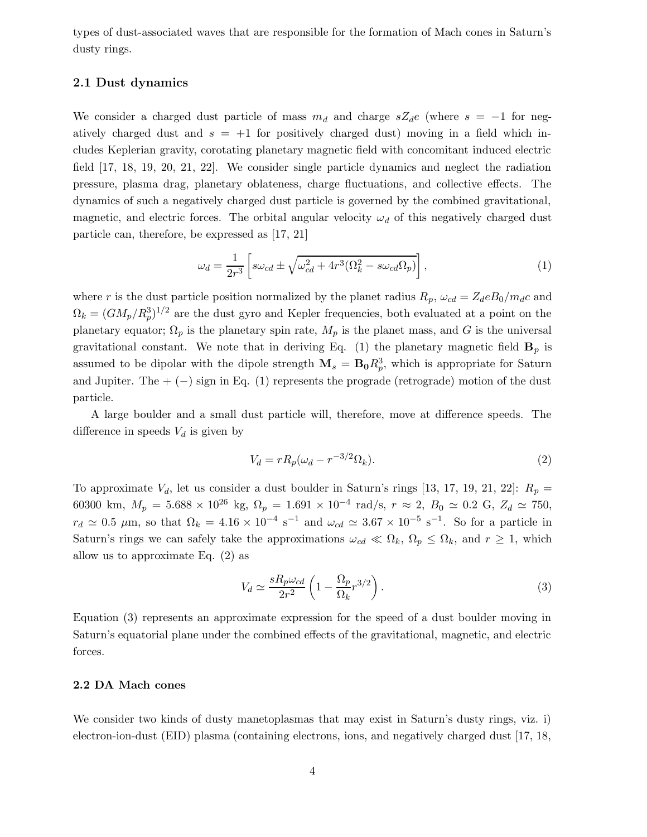types of dust-associated waves that are responsible for the formation of Mach cones in Saturn's dusty rings.

## 2.1 Dust dynamics

We consider a charged dust particle of mass  $m_d$  and charge  $sZ_d e$  (where  $s = -1$  for negatively charged dust and  $s = +1$  for positively charged dust) moving in a field which includes Keplerian gravity, corotating planetary magnetic field with concomitant induced electric field [17, 18, 19, 20, 21, 22]. We consider single particle dynamics and neglect the radiation pressure, plasma drag, planetary oblateness, charge fluctuations, and collective effects. The dynamics of such a negatively charged dust particle is governed by the combined gravitational, magnetic, and electric forces. The orbital angular velocity  $\omega_d$  of this negatively charged dust particle can, therefore, be expressed as [17, 21]

$$
\omega_d = \frac{1}{2r^3} \left[ s\omega_{cd} \pm \sqrt{\omega_{cd}^2 + 4r^3(\Omega_k^2 - s\omega_{cd}\Omega_p)} \right],\tag{1}
$$

where r is the dust particle position normalized by the planet radius  $R_p$ ,  $\omega_{cd} = Z_d e B_0 / m_d c$  and  $\Omega_k = (GM_p/R_p^3)^{1/2}$  are the dust gyro and Kepler frequencies, both evaluated at a point on the planetary equator;  $\Omega_p$  is the planetary spin rate,  $M_p$  is the planet mass, and G is the universal gravitational constant. We note that in deriving Eq. (1) the planetary magnetic field  $\mathbf{B}_p$  is assumed to be dipolar with the dipole strength  $\mathbf{M}_s = \mathbf{B_0} R_p^3$ , which is appropriate for Saturn and Jupiter. The  $+$  ( $-$ ) sign in Eq. (1) represents the prograde (retrograde) motion of the dust particle.

A large boulder and a small dust particle will, therefore, move at difference speeds. The difference in speeds  $V_d$  is given by

$$
V_d = rR_p(\omega_d - r^{-3/2}\Omega_k). \tag{2}
$$

To approximate  $V_d$ , let us consider a dust boulder in Saturn's rings [13, 17, 19, 21, 22]:  $R_p =$ 60300 km,  $M_p = 5.688 \times 10^{26}$  kg,  $\Omega_p = 1.691 \times 10^{-4}$  rad/s,  $r \approx 2$ ,  $B_0 \simeq 0.2$  G,  $Z_d \simeq 750$ ,  $r_d \simeq 0.5 \mu$ m, so that  $\Omega_k = 4.16 \times 10^{-4} \text{ s}^{-1}$  and  $\omega_{cd} \simeq 3.67 \times 10^{-5} \text{ s}^{-1}$ . So for a particle in Saturn's rings we can safely take the approximations  $\omega_{cd} \ll \Omega_k$ ,  $\Omega_p \leq \Omega_k$ , and  $r \geq 1$ , which allow us to approximate Eq. (2) as

$$
V_d \simeq \frac{sR_p\omega_{cd}}{2r^2} \left(1 - \frac{\Omega_p}{\Omega_k} r^{3/2}\right). \tag{3}
$$

Equation (3) represents an approximate expression for the speed of a dust boulder moving in Saturn's equatorial plane under the combined effects of the gravitational, magnetic, and electric forces.

## 2.2 DA Mach cones

We consider two kinds of dusty manetoplasmas that may exist in Saturn's dusty rings, viz. i) electron-ion-dust (EID) plasma (containing electrons, ions, and negatively charged dust [17, 18,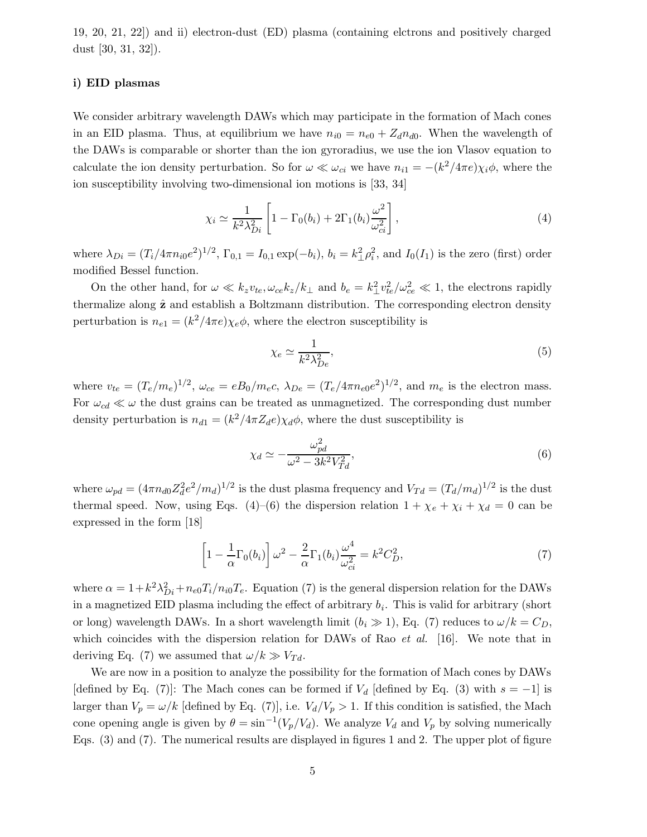19, 20, 21, 22]) and ii) electron-dust (ED) plasma (containing elctrons and positively charged dust [30, 31, 32]).

#### i) EID plasmas

We consider arbitrary wavelength DAWs which may participate in the formation of Mach cones in an EID plasma. Thus, at equilibrium we have  $n_{i0} = n_{e0} + Z_d n_{d0}$ . When the wavelength of the DAWs is comparable or shorter than the ion gyroradius, we use the ion Vlasov equation to calculate the ion density perturbation. So for  $\omega \ll \omega_{ci}$  we have  $n_{i1} = -(k^2/4\pi e)\chi_i \phi$ , where the ion susceptibility involving two-dimensional ion motions is [33, 34]

$$
\chi_i \simeq \frac{1}{k^2 \lambda_{Di}^2} \left[ 1 - \Gamma_0(b_i) + 2\Gamma_1(b_i) \frac{\omega^2}{\omega_{ci}^2} \right],\tag{4}
$$

where  $\lambda_{Di} = (T_i/4\pi n_{i0}e^2)^{1/2}$ ,  $\Gamma_{0,1} = I_{0,1} \exp(-b_i)$ ,  $b_i = k_{\perp}^2 \rho_i^2$  $i<sub>i</sub>$ , and  $I<sub>0</sub>(I<sub>1</sub>)$  is the zero (first) order modified Bessel function.

On the other hand, for  $\omega \ll k_z v_{te}, \omega_{ce} k_z / k_{\perp}$  and  $b_e = k_{\perp}^2 v_{te}^2 / \omega_{ce}^2 \ll 1$ , the electrons rapidly thermalize along  $\hat{z}$  and establish a Boltzmann distribution. The corresponding electron density perturbation is  $n_{e1} = (k^2/4\pi e)\chi_e\phi$ , where the electron susceptibility is

$$
\chi_e \simeq \frac{1}{k^2 \lambda_{De}^2},\tag{5}
$$

where  $v_{te} = (T_e/m_e)^{1/2}$ ,  $\omega_{ce} = eB_0/m_ec$ ,  $\lambda_{De} = (T_e/4\pi n_{e0}e^2)^{1/2}$ , and  $m_e$  is the electron mass. For  $\omega_{cd} \ll \omega$  the dust grains can be treated as unmagnetized. The corresponding dust number density perturbation is  $n_{d1} = (k^2/4\pi Z_d e)\chi_d \phi$ , where the dust susceptibility is

$$
\chi_d \simeq -\frac{\omega_{pd}^2}{\omega^2 - 3k^2 V_{Td}^2},\tag{6}
$$

where  $\omega_{pd} = (4\pi n_{d0} Z_d^2)$  $\frac{2}{d}e^2/m_d$ <sup>1/2</sup> is the dust plasma frequency and  $V_{Td} = (T_d/m_d)^{1/2}$  is the dust thermal speed. Now, using Eqs. (4)–(6) the dispersion relation  $1 + \chi_e + \chi_i + \chi_d = 0$  can be expressed in the form [18]

$$
\left[1 - \frac{1}{\alpha} \Gamma_0(b_i)\right] \omega^2 - \frac{2}{\alpha} \Gamma_1(b_i) \frac{\omega^4}{\omega_{ci}^2} = k^2 C_D^2,
$$
\n<sup>(7)</sup>

where  $\alpha = 1 + k^2 \lambda_{Di}^2 + n_{e0} T_i/n_{i0} T_e$ . Equation (7) is the general dispersion relation for the DAWs in a magnetized EID plasma including the effect of arbitrary  $b_i$ . This is valid for arbitrary (short or long) wavelength DAWs. In a short wavelength limit  $(b_i \gg 1)$ , Eq. (7) reduces to  $\omega/k = C_D$ , which coincides with the dispersion relation for DAWs of Rao et al. [16]. We note that in deriving Eq. (7) we assumed that  $\omega/k \gg V_{Td}$ .

We are now in a position to analyze the possibility for the formation of Mach cones by DAWs [defined by Eq. (7)]: The Mach cones can be formed if  $V_d$  [defined by Eq. (3) with  $s = -1$ ] is larger than  $V_p = \omega/k$  [defined by Eq. (7)], i.e.  $V_d/V_p > 1$ . If this condition is satisfied, the Mach cone opening angle is given by  $\theta = \sin^{-1}(V_p/V_d)$ . We analyze  $V_d$  and  $V_p$  by solving numerically Eqs. (3) and (7). The numerical results are displayed in figures 1 and 2. The upper plot of figure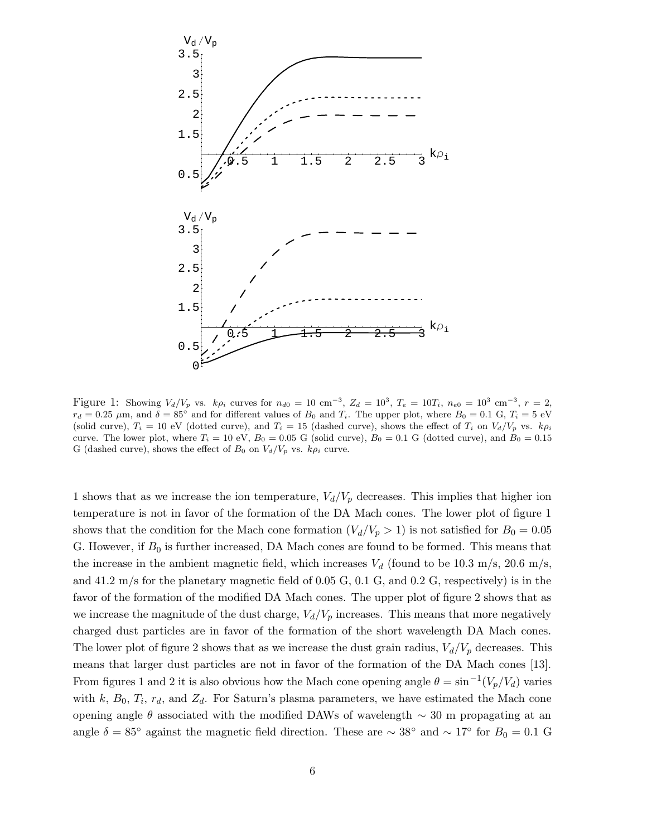

Figure 1: Showing  $V_d/V_p$  vs.  $k\rho_i$  curves for  $n_{d0} = 10 \text{ cm}^{-3}$ ,  $Z_d = 10^3$ ,  $T_e = 10T_i$ ,  $n_{e0} = 10^3 \text{ cm}^{-3}$ ,  $r = 2$ ,  $r_d = 0.25 \mu$ m, and  $\delta = 85^\circ$  and for different values of  $B_0$  and  $T_i$ . The upper plot, where  $B_0 = 0.1 \text{ G}, T_i = 5 \text{ eV}$ (solid curve),  $T_i = 10$  eV (dotted curve), and  $T_i = 15$  (dashed curve), shows the effect of  $T_i$  on  $V_d/V_p$  vs.  $k\rho_i$ curve. The lower plot, where  $T_i = 10$  eV,  $B_0 = 0.05$  G (solid curve),  $B_0 = 0.1$  G (dotted curve), and  $B_0 = 0.15$ G (dashed curve), shows the effect of  $B_0$  on  $V_d/V_p$  vs.  $k\rho_i$  curve.

1 shows that as we increase the ion temperature,  $V_d/V_p$  decreases. This implies that higher ion temperature is not in favor of the formation of the DA Mach cones. The lower plot of figure 1 shows that the condition for the Mach cone formation  $(V_d/V_p > 1)$  is not satisfied for  $B_0 = 0.05$ G. However, if  $B_0$  is further increased, DA Mach cones are found to be formed. This means that the increase in the ambient magnetic field, which increases  $V_d$  (found to be 10.3 m/s, 20.6 m/s, and 41.2 m/s for the planetary magnetic field of 0.05 G, 0.1 G, and 0.2 G, respectively) is in the favor of the formation of the modified DA Mach cones. The upper plot of figure 2 shows that as we increase the magnitude of the dust charge,  $V_d/V_p$  increases. This means that more negatively charged dust particles are in favor of the formation of the short wavelength DA Mach cones. The lower plot of figure 2 shows that as we increase the dust grain radius,  $V_d/V_p$  decreases. This means that larger dust particles are not in favor of the formation of the DA Mach cones [13]. From figures 1 and 2 it is also obvious how the Mach cone opening angle  $\theta = \sin^{-1}(V_p/V_d)$  varies with k,  $B_0$ ,  $T_i$ ,  $r_d$ , and  $Z_d$ . For Saturn's plasma parameters, we have estimated the Mach cone opening angle  $\theta$  associated with the modified DAWs of wavelength  $\sim$  30 m propagating at an angle  $\delta = 85^\circ$  against the magnetic field direction. These are ~ 38° and ~ 17° for  $B_0 = 0.1$  G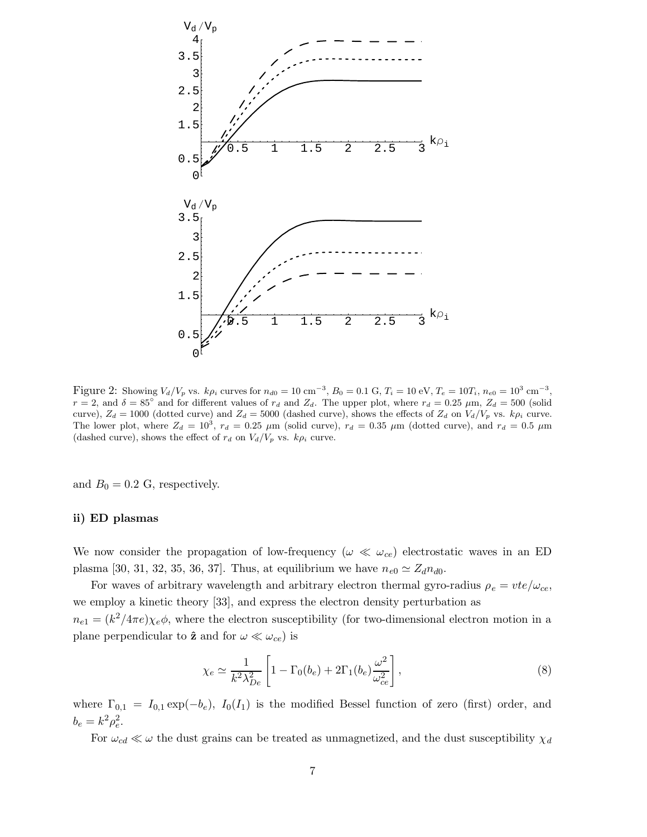

Figure 2: Showing  $V_d/V_p$  vs.  $k\rho_i$  curves for  $n_{d0} = 10 \text{ cm}^{-3}$ ,  $B_0 = 0.1 \text{ G}$ ,  $T_i = 10 \text{ eV}$ ,  $T_e = 10T_i$ ,  $n_{e0} = 10^3 \text{ cm}^{-3}$ ,  $r = 2$ , and  $\delta = 85^{\circ}$  and for different values of  $r_d$  and  $Z_d$ . The upper plot, where  $r_d = 0.25 \mu \text{m}$ ,  $Z_d = 500 \text{ (solid)}$ curve),  $Z_d = 1000$  (dotted curve) and  $Z_d = 5000$  (dashed curve), shows the effects of  $Z_d$  on  $V_d/V_p$  vs.  $k\rho_i$  curve. The lower plot, where  $Z_d = 10^3$ ,  $r_d = 0.25 \mu m$  (solid curve),  $r_d = 0.35 \mu m$  (dotted curve), and  $r_d = 0.5 \mu m$ (dashed curve), shows the effect of  $r_d$  on  $V_d/V_p$  vs.  $k\rho_i$  curve.

and  $B_0 = 0.2$  G, respectively.

### ii) ED plasmas

We now consider the propagation of low-frequency ( $\omega \ll \omega_{ce}$ ) electrostatic waves in an ED plasma [30, 31, 32, 35, 36, 37]. Thus, at equilibrium we have  $n_{e0} \simeq Z_d n_{d0}$ .

For waves of arbitrary wavelength and arbitrary electron thermal gyro-radius  $\rho_e = vte/\omega_{ce}$ , we employ a kinetic theory [33], and express the electron density perturbation as  $n_{e1} = (k^2/4\pi e)\chi_e\phi$ , where the electron susceptibility (for two-dimensional electron motion in a plane perpendicular to  $\hat{z}$  and for  $\omega \ll \omega_{ce}$ ) is

$$
\chi_e \simeq \frac{1}{k^2 \lambda_{De}^2} \left[ 1 - \Gamma_0(b_e) + 2\Gamma_1(b_e) \frac{\omega^2}{\omega_{ce}^2} \right],\tag{8}
$$

where  $\Gamma_{0,1} = I_{0,1} \exp(-b_e)$ ,  $I_0(I_1)$  is the modified Bessel function of zero (first) order, and  $b_e = k^2 \rho_e^2$  $_e^2$ .

For  $\omega_{cd} \ll \omega$  the dust grains can be treated as unmagnetized, and the dust susceptibility  $\chi_{d}$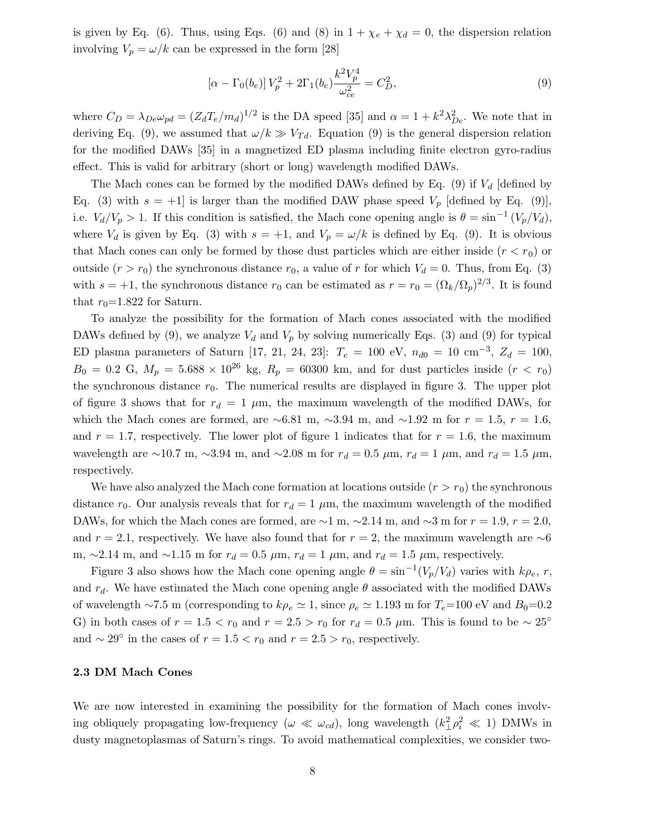is given by Eq. (6). Thus, using Eqs. (6) and (8) in  $1 + \chi_e + \chi_d = 0$ , the dispersion relation involving  $V_p = \omega/k$  can be expressed in the form [28]

$$
\left[\alpha - \Gamma_0(b_e)\right]V_p^2 + 2\Gamma_1(b_e)\frac{k^2V_p^4}{\omega_{ce}^2} = C_D^2,\tag{9}
$$

where  $C_D = \lambda_{De} \omega_{pd} = (Z_d T_e / m_d)^{1/2}$  is the DA speed [35] and  $\alpha = 1 + k^2 \lambda_D^2$  $_{De}^2$ . We note that in deriving Eq. (9), we assumed that  $\omega/k \gg V_{Td}$ . Equation (9) is the general dispersion relation for the modified DAWs [35] in a magnetized ED plasma including finite electron gyro-radius effect. This is valid for arbitrary (short or long) wavelength modified DAWs.

The Mach cones can be formed by the modified DAWs defined by Eq. (9) if  $V_d$  [defined by Eq. (3) with  $s = +1$  is larger than the modified DAW phase speed  $V_p$  [defined by Eq. (9)], i.e.  $V_d/V_p > 1$ . If this condition is satisfied, the Mach cone opening angle is  $\theta = \sin^{-1}(V_p/V_d)$ , where  $V_d$  is given by Eq. (3) with  $s = +1$ , and  $V_p = \omega/k$  is defined by Eq. (9). It is obvious that Mach cones can only be formed by those dust particles which are either inside  $(r < r_0)$  or outside  $(r > r_0)$  the synchronous distance  $r_0$ , a value of r for which  $V_d = 0$ . Thus, from Eq. (3) with  $s = +1$ , the synchronous distance  $r_0$  can be estimated as  $r = r_0 = (\Omega_k/\Omega_p)^{2/3}$ . It is found that  $r_0$ =1.822 for Saturn.

To analyze the possibility for the formation of Mach cones associated with the modified DAWs defined by (9), we analyze  $V_d$  and  $V_p$  by solving numerically Eqs. (3) and (9) for typical ED plasma parameters of Saturn [17, 21, 24, 23]:  $T_e = 100 \text{ eV}$ ,  $n_{d0} = 10 \text{ cm}^{-3}$ ,  $Z_d = 100$ ,  $B_0 = 0.2 \text{ G}, M_p = 5.688 \times 10^{26} \text{ kg}, R_p = 60300 \text{ km}, \text{ and for dust particles inside } (r < r_0)$ the synchronous distance  $r_0$ . The numerical results are displayed in figure 3. The upper plot of figure 3 shows that for  $r_d = 1 \mu m$ , the maximum wavelength of the modified DAWs, for which the Mach cones are formed, are ~6.81 m, ~3.94 m, and ~1.92 m for  $r = 1.5$ ,  $r = 1.6$ , and  $r = 1.7$ , respectively. The lower plot of figure 1 indicates that for  $r = 1.6$ , the maximum wavelength are ∼10.7 m, ∼3.94 m, and ∼2.08 m for  $r_d = 0.5 \mu$ m,  $r_d = 1 \mu$ m, and  $r_d = 1.5 \mu$ m, respectively.

We have also analyzed the Mach cone formation at locations outside  $(r > r_0)$  the synchronous distance  $r_0$ . Our analysis reveals that for  $r_d = 1 \mu m$ , the maximum wavelength of the modified DAWs, for which the Mach cones are formed, are  $\sim$ 1 m,  $\sim$ 2.14 m, and  $\sim$ 3 m for  $r = 1.9$ ,  $r = 2.0$ , and  $r = 2.1$ , respectively. We have also found that for  $r = 2$ , the maximum wavelength are ∼6 m, ~2.14 m, and ~1.15 m for  $r_d = 0.5 \mu$ m,  $r_d = 1 \mu$ m, and  $r_d = 1.5 \mu$ m, respectively.

Figure 3 also shows how the Mach cone opening angle  $\theta = \sin^{-1}(V_p/V_d)$  varies with  $k\rho_e$ , r, and  $r_d$ . We have estimated the Mach cone opening angle  $\theta$  associated with the modified DAWs of wavelength ∼7.5 m (corresponding to  $k\rho_e \simeq 1$ , since  $\rho_e \simeq 1.193$  m for  $T_e=100$  eV and  $B_0=0.2$ G) in both cases of  $r = 1.5 < r_0$  and  $r = 2.5 > r_0$  for  $r_d = 0.5 \mu$ m. This is found to be ~ 25° and  $\sim 29^{\circ}$  in the cases of  $r = 1.5 < r_0$  and  $r = 2.5 > r_0$ , respectively.

#### 2.3 DM Mach Cones

We are now interested in examining the possibility for the formation of Mach cones involving obliquely propagating low-frequency ( $\omega \ll \omega_{cd}$ ), long wavelength  $(k_{\perp}^2 \rho_i^2 \ll 1)$  DMWs in dusty magnetoplasmas of Saturn's rings. To avoid mathematical complexities, we consider two-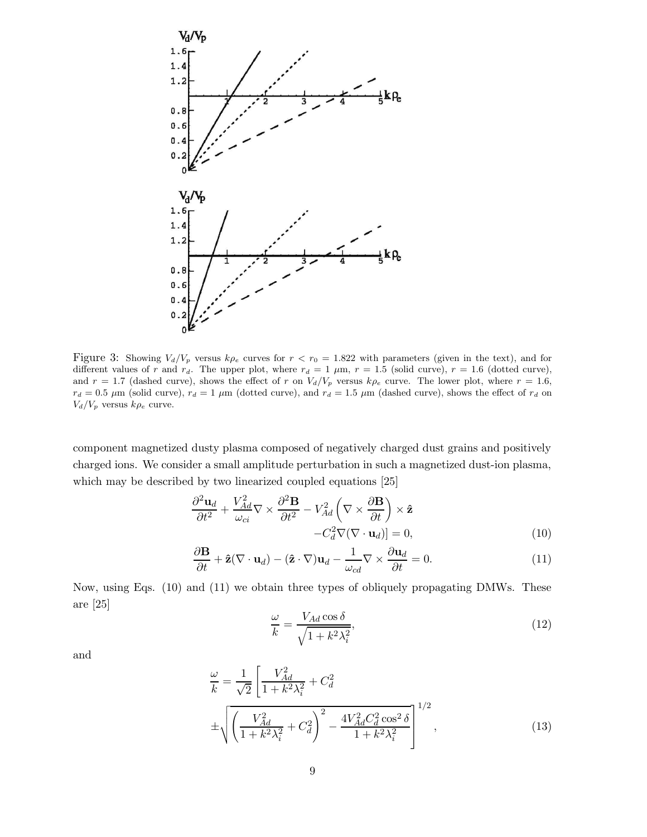

Figure 3: Showing  $V_d/V_p$  versus  $k\rho_e$  curves for  $r < r_0 = 1.822$  with parameters (given in the text), and for different values of r and r<sub>d</sub>. The upper plot, where  $r_d = 1 \mu m$ ,  $r = 1.5$  (solid curve),  $r = 1.6$  (dotted curve), and  $r = 1.7$  (dashed curve), shows the effect of r on  $V_d/V_p$  versus  $k\rho_e$  curve. The lower plot, where  $r = 1.6$ ,  $r_d = 0.5 \mu$ m (solid curve),  $r_d = 1 \mu$ m (dotted curve), and  $r_d = 1.5 \mu$ m (dashed curve), shows the effect of  $r_d$  on  $V_d/V_p$  versus  $k\rho_e$  curve.

component magnetized dusty plasma composed of negatively charged dust grains and positively charged ions. We consider a small amplitude perturbation in such a magnetized dust-ion plasma, which may be described by two linearized coupled equations [25]

$$
\frac{\partial^2 \mathbf{u}_d}{\partial t^2} + \frac{V_{Ad}^2}{\omega_{ci}} \nabla \times \frac{\partial^2 \mathbf{B}}{\partial t^2} - V_{Ad}^2 \left( \nabla \times \frac{\partial \mathbf{B}}{\partial t} \right) \times \hat{\mathbf{z}} - C_d^2 \nabla (\nabla \cdot \mathbf{u}_d) = 0,
$$
\n(10)

$$
\frac{\partial \mathbf{B}}{\partial t} + \hat{\mathbf{z}} (\nabla \cdot \mathbf{u}_d) - (\hat{\mathbf{z}} \cdot \nabla) \mathbf{u}_d - \frac{1}{\omega_{cd}} \nabla \times \frac{\partial \mathbf{u}_d}{\partial t} = 0.
$$
 (11)

Now, using Eqs. (10) and (11) we obtain three types of obliquely propagating DMWs. These are [25]

$$
\frac{\omega}{k} = \frac{V_{Ad}\cos\delta}{\sqrt{1 + k^2 \lambda_i^2}},\tag{12}
$$

and

$$
\frac{\omega}{k} = \frac{1}{\sqrt{2}} \left[ \frac{V_{Ad}^2}{1 + k^2 \lambda_i^2} + C_d^2 \right] \n\pm \sqrt{\left( \frac{V_{Ad}^2}{1 + k^2 \lambda_i^2} + C_d^2 \right)^2 - \frac{4V_{Ad}^2 C_d^2 \cos^2 \delta}{1 + k^2 \lambda_i^2}} \right]^{1/2},
$$
\n(13)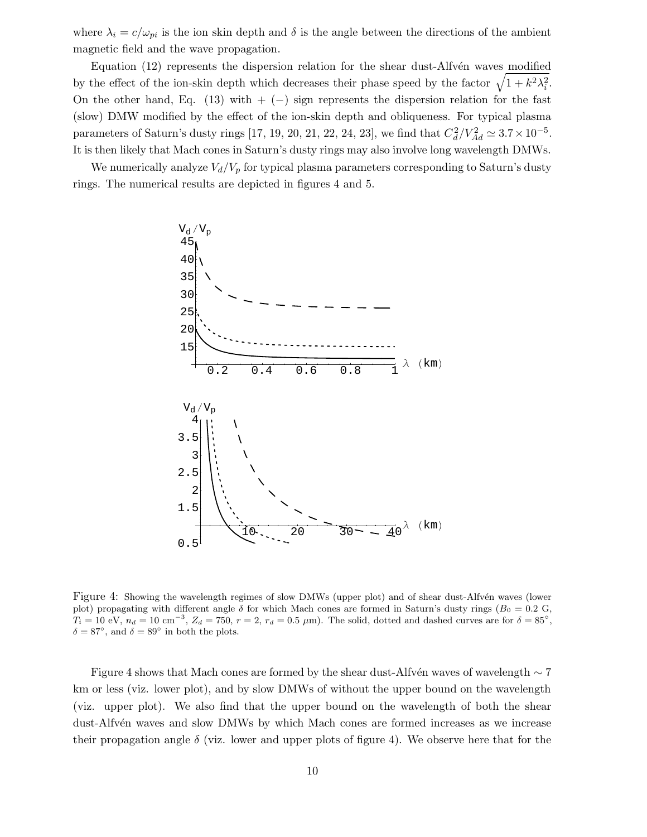where  $\lambda_i = c/\omega_{pi}$  is the ion skin depth and  $\delta$  is the angle between the directions of the ambient magnetic field and the wave propagation.

Equation  $(12)$  represents the dispersion relation for the shear dust-Alfv $\acute{e}$ n waves modified by the effect of the ion-skin depth which decreases their phase speed by the factor  $\sqrt{1 + k^2 \lambda_i^2}$  $\frac{2}{i}$ . On the other hand, Eq.  $(13)$  with  $+ (-)$  sign represents the dispersion relation for the fast (slow) DMW modified by the effect of the ion-skin depth and obliqueness. For typical plasma parameters of Saturn's dusty rings [17, 19, 20, 21, 22, 24, 23], we find that  $C_d^2$  $\frac{2}{d}/V_{Ad}^2 \simeq 3.7 \times 10^{-5}$ . It is then likely that Mach cones in Saturn's dusty rings may also involve long wavelength DMWs.

We numerically analyze  $V_d/V_p$  for typical plasma parameters corresponding to Saturn's dusty rings. The numerical results are depicted in figures 4 and 5.



Figure 4: Showing the wavelength regimes of slow DMWs (upper plot) and of shear dust-Alfvén waves (lower plot) propagating with different angle  $\delta$  for which Mach cones are formed in Saturn's dusty rings ( $B_0 = 0.2$  G,  $T_i = 10 \text{ eV}, n_d = 10 \text{ cm}^{-3}, Z_d = 750, r = 2, r_d = 0.5 \text{ }\mu\text{m}$ . The solid, dotted and dashed curves are for  $\delta = 85^\circ$ .  $\delta = 87^{\circ}$ , and  $\delta = 89^{\circ}$  in both the plots.

Figure 4 shows that Mach cones are formed by the shear dust-Alfvén waves of wavelength  $\sim 7$ km or less (viz. lower plot), and by slow DMWs of without the upper bound on the wavelength (viz. upper plot). We also find that the upper bound on the wavelength of both the shear dust-Alfvén waves and slow DMWs by which Mach cones are formed increases as we increase their propagation angle  $\delta$  (viz. lower and upper plots of figure 4). We observe here that for the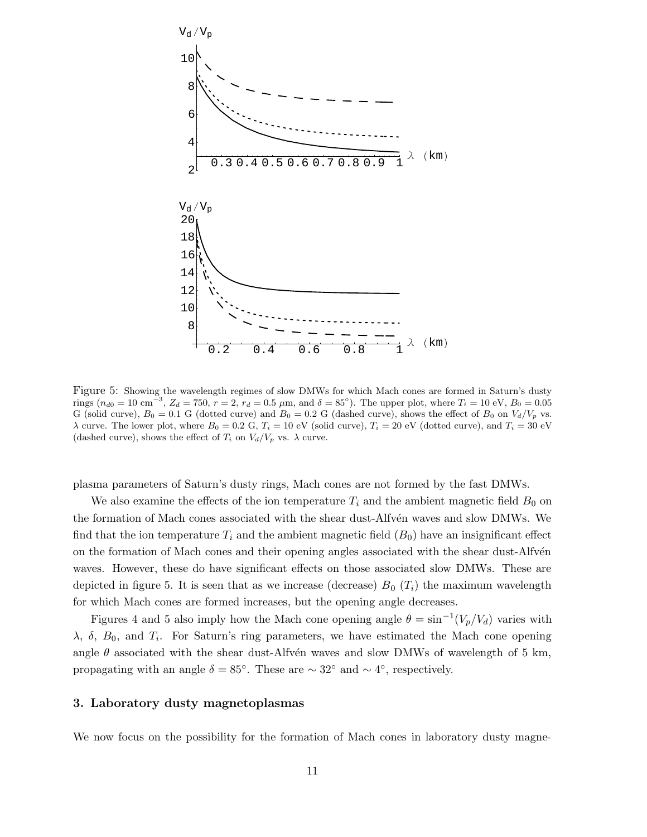

Figure 5: Showing the wavelength regimes of slow DMWs for which Mach cones are formed in Saturn's dusty rings ( $n_{d0} = 10 \text{ cm}^{-3}$ ,  $Z_d = 750$ ,  $r = 2$ ,  $r_d = 0.5 \mu \text{m}$ , and  $\delta = 85^{\circ}$ ). The upper plot, where  $T_i = 10 \text{ eV}$ ,  $B_0 = 0.05$ G (solid curve),  $B_0 = 0.1$  G (dotted curve) and  $B_0 = 0.2$  G (dashed curve), shows the effect of  $B_0$  on  $V_d/V_p$  vs. λ curve. The lower plot, where  $B_0 = 0.2$  G,  $T_i = 10$  eV (solid curve),  $T_i = 20$  eV (dotted curve), and  $T_i = 30$  eV (dashed curve), shows the effect of  $T_i$  on  $V_d/V_p$  vs.  $\lambda$  curve.

plasma parameters of Saturn's dusty rings, Mach cones are not formed by the fast DMWs.

We also examine the effects of the ion temperature  $T_i$  and the ambient magnetic field  $B_0$  on the formation of Mach cones associated with the shear dust-Alfvén waves and slow DMWs. We find that the ion temperature  $T_i$  and the ambient magnetic field  $(B_0)$  have an insignificant effect on the formation of Mach cones and their opening angles associated with the shear dust-Alfvén waves. However, these do have significant effects on those associated slow DMWs. These are depicted in figure 5. It is seen that as we increase (decrease)  $B_0(T_i)$  the maximum wavelength for which Mach cones are formed increases, but the opening angle decreases.

Figures 4 and 5 also imply how the Mach cone opening angle  $\theta = \sin^{-1}(V_p/V_d)$  varies with  $\lambda$ ,  $\delta$ ,  $B_0$ , and  $T_i$ . For Saturn's ring parameters, we have estimated the Mach cone opening angle  $\theta$  associated with the shear dust-Alfvén waves and slow DMWs of wavelength of 5 km, propagating with an angle  $\delta = 85^{\circ}$ . These are  $\sim 32^{\circ}$  and  $\sim 4^{\circ}$ , respectively.

### 3. Laboratory dusty magnetoplasmas

We now focus on the possibility for the formation of Mach cones in laboratory dusty magne-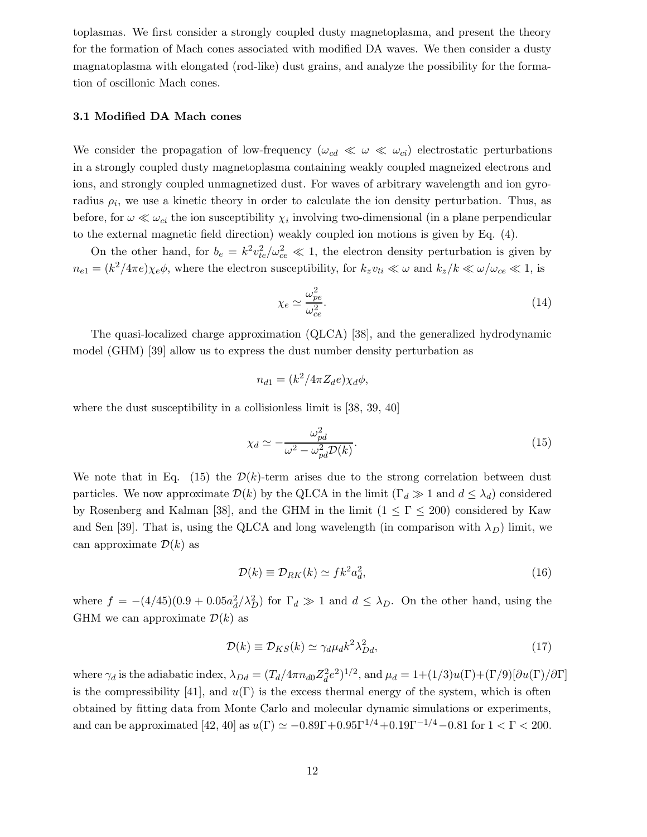toplasmas. We first consider a strongly coupled dusty magnetoplasma, and present the theory for the formation of Mach cones associated with modified DA waves. We then consider a dusty magnatoplasma with elongated (rod-like) dust grains, and analyze the possibility for the formation of oscillonic Mach cones.

#### 3.1 Modified DA Mach cones

We consider the propagation of low-frequency  $(\omega_{cd} \ll \omega \ll \omega_{ci})$  electrostatic perturbations in a strongly coupled dusty magnetoplasma containing weakly coupled magneized electrons and ions, and strongly coupled unmagnetized dust. For waves of arbitrary wavelength and ion gyroradius  $\rho_i$ , we use a kinetic theory in order to calculate the ion density perturbation. Thus, as before, for  $\omega \ll \omega_{ci}$  the ion susceptibility  $\chi_i$  involving two-dimensional (in a plane perpendicular to the external magnetic field direction) weakly coupled ion motions is given by Eq. (4).

On the other hand, for  $b_e = k^2 v_{te}^2 / \omega_{ce}^2 \ll 1$ , the electron density perturbation is given by  $n_{e1} = (k^2/4\pi e)\chi_e\phi$ , where the electron susceptibility, for  $k_zv_{ti} \ll \omega$  and  $k_z/k \ll \omega/\omega_{ce} \ll 1$ , is

$$
\chi_e \simeq \frac{\omega_{pe}^2}{\omega_{ce}^2}.\tag{14}
$$

The quasi-localized charge approximation (QLCA) [38], and the generalized hydrodynamic model (GHM) [39] allow us to express the dust number density perturbation as

$$
n_{d1} = (k^2/4\pi Z_d e) \chi_d \phi,
$$

where the dust susceptibility in a collisionless limit is [38, 39, 40]

$$
\chi_d \simeq -\frac{\omega_{pd}^2}{\omega^2 - \omega_{pd}^2 \mathcal{D}(k)}.\tag{15}
$$

We note that in Eq. (15) the  $\mathcal{D}(k)$ -term arises due to the strong correlation between dust particles. We now approximate  $\mathcal{D}(k)$  by the QLCA in the limit  $(\Gamma_d \gg 1 \text{ and } d \leq \lambda_d)$  considered by Rosenberg and Kalman [38], and the GHM in the limit  $(1 \leq \Gamma \leq 200)$  considered by Kaw and Sen [39]. That is, using the QLCA and long wavelength (in comparison with  $\lambda_D$ ) limit, we can approximate  $\mathcal{D}(k)$  as

$$
\mathcal{D}(k) \equiv \mathcal{D}_{RK}(k) \simeq f k^2 a_d^2,\tag{16}
$$

where  $f = -(4/45)(0.9 + 0.05a_d^2)$  $\frac{2}{d}$ / $\lambda_D^2$ ) for  $\Gamma_d \gg 1$  and  $d \leq \lambda_D$ . On the other hand, using the GHM we can approximate  $\mathcal{D}(k)$  as

$$
\mathcal{D}(k) \equiv \mathcal{D}_{KS}(k) \simeq \gamma_d \mu_d k^2 \lambda_{Dd}^2,\tag{17}
$$

where  $\gamma_d$  is the adiabatic index,  $\lambda_{Dd} = (T_d/4\pi n_{d0} Z_d^2)$  $\int_{d}^{2}e^{2}$ )<sup>1/2</sup>, and  $\mu_{d} = 1+(1/3)u(\Gamma)+(\Gamma/9)[\partial u(\Gamma)/\partial\Gamma]$ is the compressibility [41], and  $u(\Gamma)$  is the excess thermal energy of the system, which is often obtained by fitting data from Monte Carlo and molecular dynamic simulations or experiments, and can be approximated  $[42, 40]$  as  $u(\Gamma) \simeq -0.89\Gamma + 0.95\Gamma^{1/4} + 0.19\Gamma^{-1/4} - 0.81$  for  $1 < \Gamma < 200$ .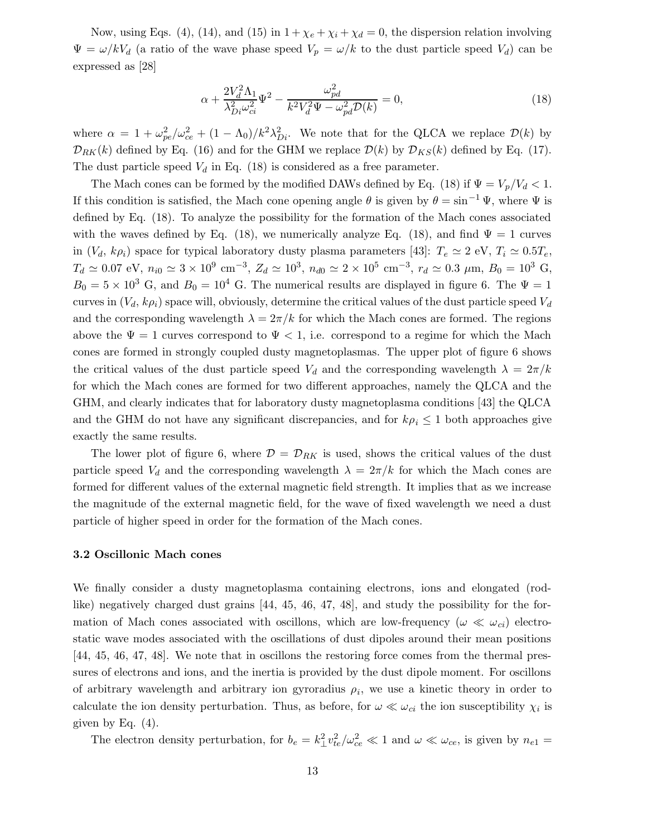Now, using Eqs. (4), (14), and (15) in  $1 + \chi_e + \chi_i + \chi_d = 0$ , the dispersion relation involving  $\Psi = \omega / kV_d$  (a ratio of the wave phase speed  $V_p = \omega / k$  to the dust particle speed  $V_d$ ) can be expressed as [28]

$$
\alpha + \frac{2V_d^2 \Lambda_1}{\lambda_{Di}^2 \omega_{ci}^2} \Psi^2 - \frac{\omega_{pd}^2}{k^2 V_d^2 \Psi - \omega_{pd}^2 \mathcal{D}(k)} = 0,
$$
\n(18)

where  $\alpha = 1 + \omega_{pe}^2 / \omega_{ce}^2 + (1 - \Lambda_0) / k^2 \lambda_{I}^2$  $D_i^2$ . We note that for the QLCA we replace  $\mathcal{D}(k)$  by  $\mathcal{D}_{RK}(k)$  defined by Eq. (16) and for the GHM we replace  $\mathcal{D}(k)$  by  $\mathcal{D}_{KS}(k)$  defined by Eq. (17). The dust particle speed  $V_d$  in Eq. (18) is considered as a free parameter.

The Mach cones can be formed by the modified DAWs defined by Eq. (18) if  $\Psi = V_p/V_d < 1$ . If this condition is satisfied, the Mach cone opening angle  $\theta$  is given by  $\theta = \sin^{-1} \Psi$ , where  $\Psi$  is defined by Eq. (18). To analyze the possibility for the formation of the Mach cones associated with the waves defined by Eq. (18), we numerically analyze Eq. (18), and find  $\Psi = 1$  curves in  $(V_d, k\rho_i)$  space for typical laboratory dusty plasma parameters [43]:  $T_e \simeq 2$  eV,  $T_i \simeq 0.5T_e$ ,  $T_d \simeq 0.07$  eV,  $n_{i0} \simeq 3 \times 10^9$  cm<sup>-3</sup>,  $Z_d \simeq 10^3$ ,  $n_{d0} \simeq 2 \times 10^5$  cm<sup>-3</sup>,  $r_d \simeq 0.3$   $\mu$ m,  $B_0 = 10^3$  G,  $B_0 = 5 \times 10^3$  G, and  $B_0 = 10^4$  G. The numerical results are displayed in figure 6. The  $\Psi = 1$ curves in  $(V_d, k\rho_i)$  space will, obviously, determine the critical values of the dust particle speed  $V_d$ and the corresponding wavelength  $\lambda = 2\pi/k$  for which the Mach cones are formed. The regions above the  $\Psi = 1$  curves correspond to  $\Psi < 1$ , i.e. correspond to a regime for which the Mach cones are formed in strongly coupled dusty magnetoplasmas. The upper plot of figure 6 shows the critical values of the dust particle speed  $V_d$  and the corresponding wavelength  $\lambda = 2\pi/k$ for which the Mach cones are formed for two different approaches, namely the QLCA and the GHM, and clearly indicates that for laboratory dusty magnetoplasma conditions [43] the QLCA and the GHM do not have any significant discrepancies, and for  $k\rho_i \leq 1$  both approaches give exactly the same results.

The lower plot of figure 6, where  $\mathcal{D} = \mathcal{D}_{RK}$  is used, shows the critical values of the dust particle speed  $V_d$  and the corresponding wavelength  $\lambda = 2\pi/k$  for which the Mach cones are formed for different values of the external magnetic field strength. It implies that as we increase the magnitude of the external magnetic field, for the wave of fixed wavelength we need a dust particle of higher speed in order for the formation of the Mach cones.

#### 3.2 Oscillonic Mach cones

We finally consider a dusty magnetoplasma containing electrons, ions and elongated (rodlike) negatively charged dust grains [44, 45, 46, 47, 48], and study the possibility for the formation of Mach cones associated with oscillons, which are low-frequency ( $\omega \ll \omega_{ci}$ ) electrostatic wave modes associated with the oscillations of dust dipoles around their mean positions [44, 45, 46, 47, 48]. We note that in oscillons the restoring force comes from the thermal pressures of electrons and ions, and the inertia is provided by the dust dipole moment. For oscillons of arbitrary wavelength and arbitrary ion gyroradius  $\rho_i$ , we use a kinetic theory in order to calculate the ion density perturbation. Thus, as before, for  $\omega \ll \omega_{ci}$  the ion susceptibility  $\chi_i$  is given by Eq.  $(4)$ .

The electron density perturbation, for  $b_e = k_\perp^2 v_{te}^2 / \omega_{ce}^2 \ll 1$  and  $\omega \ll \omega_{ce}$ , is given by  $n_{e1} =$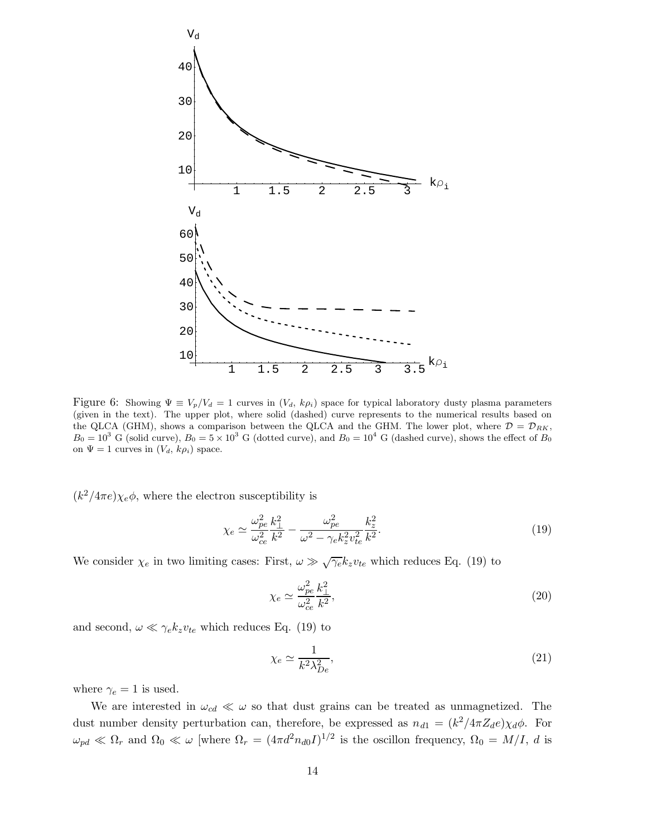

Figure 6: Showing  $\Psi \equiv V_p/V_d = 1$  curves in  $(V_d, k \rho_i)$  space for typical laboratory dusty plasma parameters (given in the text). The upper plot, where solid (dashed) curve represents to the numerical results based on the QLCA (GHM), shows a comparison between the QLCA and the GHM. The lower plot, where  $\mathcal{D} = \mathcal{D}_{RK}$ ,  $B_0 = 10^3$  G (solid curve),  $B_0 = 5 \times 10^3$  G (dotted curve), and  $B_0 = 10^4$  G (dashed curve), shows the effect of  $B_0$ on  $\Psi = 1$  curves in  $(V_d, k\rho_i)$  space.

 $(k^2/4\pi e)\chi_e\phi$ , where the electron susceptibility is

$$
\chi_e \simeq \frac{\omega_{pe}^2}{\omega_{ce}^2} \frac{k_{\perp}^2}{k^2} - \frac{\omega_{pe}^2}{\omega^2 - \gamma_e k_z^2 v_{te}^2} \frac{k_z^2}{k^2}.
$$
\n(19)

We consider  $\chi_e$  in two limiting cases: First,  $\omega \gg \sqrt{\gamma_e} k_z v_{te}$  which reduces Eq. (19) to

$$
\chi_e \simeq \frac{\omega_{pe}^2}{\omega_{ce}^2} \frac{k_{\perp}^2}{k^2},\tag{20}
$$

and second,  $\omega \ll \gamma_e k_z v_{te}$  which reduces Eq. (19) to

$$
\chi_e \simeq \frac{1}{k^2 \lambda_{De}^2},\tag{21}
$$

where  $\gamma_e = 1$  is used.

We are interested in  $\omega_{cd} \ll \omega$  so that dust grains can be treated as unmagnetized. The dust number density perturbation can, therefore, be expressed as  $n_{d1} = (k^2/4\pi Z_d e)\chi_d\phi$ . For  $\omega_{pd} \ll \Omega_r$  and  $\Omega_0 \ll \omega$  [where  $\Omega_r = (4\pi d^2 n_{d0}I)^{1/2}$  is the oscillon frequency,  $\Omega_0 = M/I$ , d is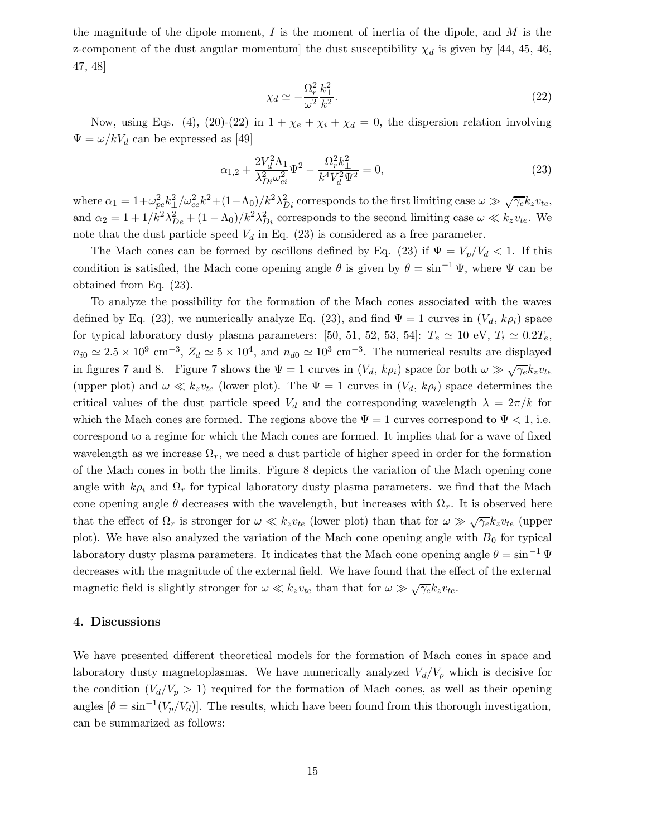the magnitude of the dipole moment,  $I$  is the moment of inertia of the dipole, and  $M$  is the z-component of the dust angular momentum] the dust susceptibility  $\chi_d$  is given by [44, 45, 46, 47, 48]

$$
\chi_d \simeq -\frac{\Omega_r^2}{\omega^2} \frac{k_\perp^2}{k^2}.\tag{22}
$$

Now, using Eqs. (4), (20)-(22) in  $1 + \chi_e + \chi_i + \chi_d = 0$ , the dispersion relation involving  $\Psi = \omega / kV_d$  can be expressed as [49]

$$
\alpha_{1,2} + \frac{2V_d^2 \Lambda_1}{\lambda_{Di}^2 \omega_{ci}^2} \Psi^2 - \frac{\Omega_r^2 k_\perp^2}{k^4 V_d^2 \Psi^2} = 0,\tag{23}
$$

where  $\alpha_1 = 1 + \omega_{pe}^2 k_{\perp}^2 / \omega_{ce}^2 k^2 + (1 - \Lambda_0) / k^2 \lambda_{I}^2$  $_{Di}^2$  corresponds to the first limiting case  $\omega \gg \sqrt{\gamma_e} k_z v_{te}$ , and  $\alpha_2 = 1 + 1/k^2 \lambda_{De}^2 + (1 - \Lambda_0)/k^2 \lambda_{I}^2$  $_{Di}^2$  corresponds to the second limiting case  $\omega \ll k_z v_{te}$ . We note that the dust particle speed  $V_d$  in Eq. (23) is considered as a free parameter.

The Mach cones can be formed by oscillons defined by Eq. (23) if  $\Psi = V_p/V_d < 1$ . If this condition is satisfied, the Mach cone opening angle  $\theta$  is given by  $\theta = \sin^{-1} \Psi$ , where  $\Psi$  can be obtained from Eq. (23).

To analyze the possibility for the formation of the Mach cones associated with the waves defined by Eq. (23), we numerically analyze Eq. (23), and find  $\Psi = 1$  curves in  $(V_d, k\rho_i)$  space for typical laboratory dusty plasma parameters: [50, 51, 52, 53, 54]:  $T_e \simeq 10 \text{ eV}, T_i \simeq 0.2T_e$ ,  $n_{i0} \simeq 2.5 \times 10^9$  cm<sup>-3</sup>,  $Z_d \simeq 5 \times 10^4$ , and  $n_{d0} \simeq 10^3$  cm<sup>-3</sup>. The numerical results are displayed in figures 7 and 8. Figure 7 shows the  $\Psi = 1$  curves in  $(V_d, k\rho_i)$  space for both  $\omega \gg \sqrt{\gamma_e} k_z v_{te}$ (upper plot) and  $\omega \ll k_z v_{te}$  (lower plot). The  $\Psi = 1$  curves in  $(V_d, k \rho_i)$  space determines the critical values of the dust particle speed  $V_d$  and the corresponding wavelength  $\lambda = 2\pi/k$  for which the Mach cones are formed. The regions above the  $\Psi = 1$  curves correspond to  $\Psi < 1$ , i.e. correspond to a regime for which the Mach cones are formed. It implies that for a wave of fixed wavelength as we increase  $\Omega_r$ , we need a dust particle of higher speed in order for the formation of the Mach cones in both the limits. Figure 8 depicts the variation of the Mach opening cone angle with  $k\rho_i$  and  $\Omega_r$  for typical laboratory dusty plasma parameters. we find that the Mach cone opening angle  $\theta$  decreases with the wavelength, but increases with  $\Omega_r$ . It is observed here that the effect of  $\Omega_r$  is stronger for  $\omega \ll k_z v_{te}$  (lower plot) than that for  $\omega \gg \sqrt{\gamma_e} k_z v_{te}$  (upper plot). We have also analyzed the variation of the Mach cone opening angle with  $B_0$  for typical laboratory dusty plasma parameters. It indicates that the Mach cone opening angle  $\theta = \sin^{-1} \Psi$ decreases with the magnitude of the external field. We have found that the effect of the external magnetic field is slightly stronger for  $\omega \ll k_z v_{te}$  than that for  $\omega \gg \sqrt{\gamma_e} k_z v_{te}$ .

### 4. Discussions

We have presented different theoretical models for the formation of Mach cones in space and laboratory dusty magnetoplasmas. We have numerically analyzed  $V_d/V_p$  which is decisive for the condition  $(V_d/V_p > 1)$  required for the formation of Mach cones, as well as their opening angles  $[\theta = \sin^{-1}(V_p/V_d)]$ . The results, which have been found from this thorough investigation, can be summarized as follows: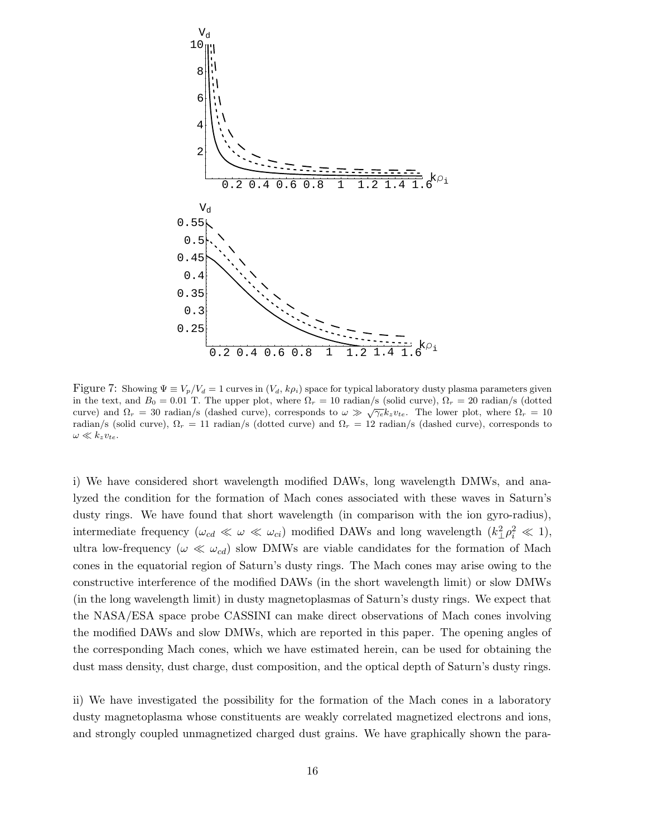

Figure 7: Showing  $\Psi \equiv V_p/V_d = 1$  curves in  $(V_d, k\rho_i)$  space for typical laboratory dusty plasma parameters given in the text, and  $B_0 = 0.01$  T. The upper plot, where  $\Omega_r = 10$  radian/s (solid curve),  $\Omega_r = 20$  radian/s (dotted curve) and  $\Omega_r = 30$  radian/s (dashed curve), corresponds to  $\omega \gg \sqrt{\gamma_e} k_z v_{te}$ . The lower plot, where  $\Omega_r = 10$ radian/s (solid curve),  $\Omega_r = 11$  radian/s (dotted curve) and  $\Omega_r = 12$  radian/s (dashed curve), corresponds to  $\omega \ll k_z v_{te}.$ 

i) We have considered short wavelength modified DAWs, long wavelength DMWs, and analyzed the condition for the formation of Mach cones associated with these waves in Saturn's dusty rings. We have found that short wavelength (in comparison with the ion gyro-radius), intermediate frequency  $(\omega_{cd} \ll \omega \ll \omega_{ci})$  modified DAWs and long wavelength  $(k_{\perp}^2 \rho_i^2 \ll 1)$ , ultra low-frequency ( $\omega \ll \omega_{cd}$ ) slow DMWs are viable candidates for the formation of Mach cones in the equatorial region of Saturn's dusty rings. The Mach cones may arise owing to the constructive interference of the modified DAWs (in the short wavelength limit) or slow DMWs (in the long wavelength limit) in dusty magnetoplasmas of Saturn's dusty rings. We expect that the NASA/ESA space probe CASSINI can make direct observations of Mach cones involving the modified DAWs and slow DMWs, which are reported in this paper. The opening angles of the corresponding Mach cones, which we have estimated herein, can be used for obtaining the dust mass density, dust charge, dust composition, and the optical depth of Saturn's dusty rings.

ii) We have investigated the possibility for the formation of the Mach cones in a laboratory dusty magnetoplasma whose constituents are weakly correlated magnetized electrons and ions, and strongly coupled unmagnetized charged dust grains. We have graphically shown the para-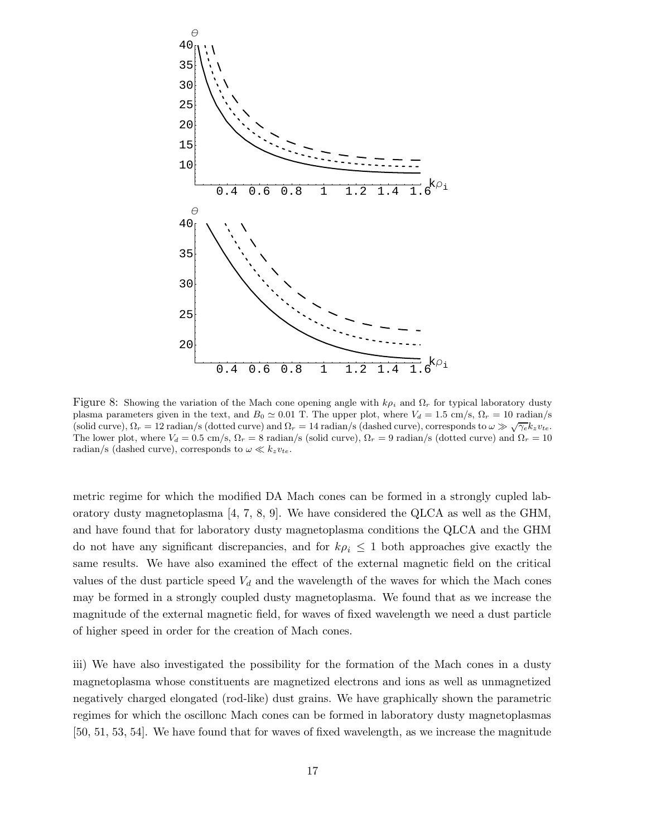

Figure 8: Showing the variation of the Mach cone opening angle with  $k\rho_i$  and  $\Omega_r$  for typical laboratory dusty plasma parameters given in the text, and  $B_0 \simeq 0.01$  T. The upper plot, where  $V_d = 1.5$  cm/s,  $\Omega_r = 10$  radian/s (solid curve),  $\Omega_r = 12$  radian/s (dotted curve) and  $\Omega_r = 14$  radian/s (dashed curve), corresponds to  $\omega \gg \sqrt{\gamma_e} k_z v_{te}$ . The lower plot, where  $V_d = 0.5$  cm/s,  $\Omega_r = 8$  radian/s (solid curve),  $\Omega_r = 9$  radian/s (dotted curve) and  $\Omega_r = 10$ radian/s (dashed curve), corresponds to  $\omega \ll k_z v_{te}$ .

metric regime for which the modified DA Mach cones can be formed in a strongly cupled laboratory dusty magnetoplasma [4, 7, 8, 9]. We have considered the QLCA as well as the GHM, and have found that for laboratory dusty magnetoplasma conditions the QLCA and the GHM do not have any significant discrepancies, and for  $k\rho_i \leq 1$  both approaches give exactly the same results. We have also examined the effect of the external magnetic field on the critical values of the dust particle speed  $V_d$  and the wavelength of the waves for which the Mach cones may be formed in a strongly coupled dusty magnetoplasma. We found that as we increase the magnitude of the external magnetic field, for waves of fixed wavelength we need a dust particle of higher speed in order for the creation of Mach cones.

iii) We have also investigated the possibility for the formation of the Mach cones in a dusty magnetoplasma whose constituents are magnetized electrons and ions as well as unmagnetized negatively charged elongated (rod-like) dust grains. We have graphically shown the parametric regimes for which the oscillonc Mach cones can be formed in laboratory dusty magnetoplasmas [50, 51, 53, 54]. We have found that for waves of fixed wavelength, as we increase the magnitude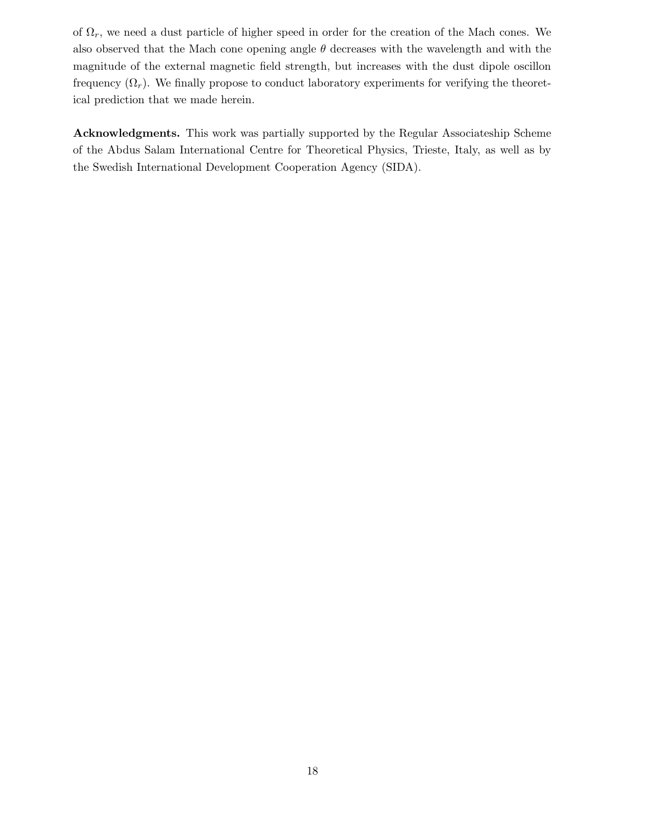of  $\Omega_r$ , we need a dust particle of higher speed in order for the creation of the Mach cones. We also observed that the Mach cone opening angle  $\theta$  decreases with the wavelength and with the magnitude of the external magnetic field strength, but increases with the dust dipole oscillon frequency  $(\Omega_r)$ . We finally propose to conduct laboratory experiments for verifying the theoretical prediction that we made herein.

Acknowledgments. This work was partially supported by the Regular Associateship Scheme of the Abdus Salam International Centre for Theoretical Physics, Trieste, Italy, as well as by the Swedish International Development Cooperation Agency (SIDA).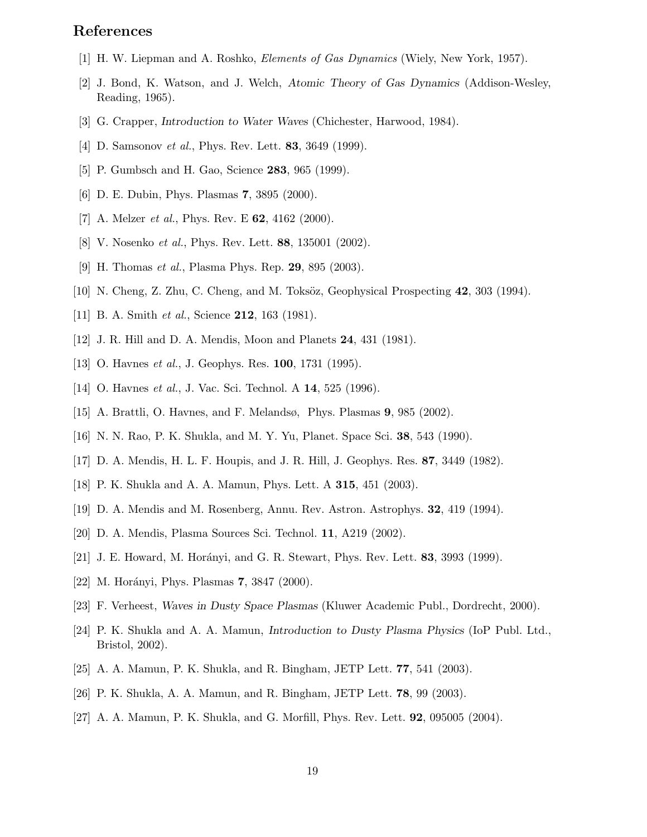# References

- [1] H. W. Liepman and A. Roshko, Elements of Gas Dynamics (Wiely, New York, 1957).
- [2] J. Bond, K. Watson, and J. Welch, Atomic Theory of Gas Dynamics (Addison-Wesley, Reading, 1965).
- [3] G. Crapper, Introduction to Water Waves (Chichester, Harwood, 1984).
- [4] D. Samsonov *et al.*, Phys. Rev. Lett. **83**, 3649 (1999).
- [5] P. Gumbsch and H. Gao, Science 283, 965 (1999).
- [6] D. E. Dubin, Phys. Plasmas 7, 3895 (2000).
- [7] A. Melzer *et al.*, Phys. Rev. E **62**, 4162 (2000).
- [8] V. Nosenko et al., Phys. Rev. Lett. 88, 135001 (2002).
- [9] H. Thomas et al., Plasma Phys. Rep. 29, 895 (2003).
- [10] N. Cheng, Z. Zhu, C. Cheng, and M. Toksöz, Geophysical Prospecting  $42$ ,  $303$  (1994).
- [11] B. A. Smith *et al.*, Science **212**, 163 (1981).
- [12] J. R. Hill and D. A. Mendis, Moon and Planets 24, 431 (1981).
- [13] O. Havnes *et al.*, J. Geophys. Res. **100**, 1731 (1995).
- [14] O. Havnes *et al.*, J. Vac. Sci. Technol. A **14**, 525 (1996).
- [15] A. Brattli, O. Havnes, and F. Melandsø, Phys. Plasmas 9, 985 (2002).
- [16] N. N. Rao, P. K. Shukla, and M. Y. Yu, Planet. Space Sci. 38, 543 (1990).
- [17] D. A. Mendis, H. L. F. Houpis, and J. R. Hill, J. Geophys. Res. 87, 3449 (1982).
- [18] P. K. Shukla and A. A. Mamun, Phys. Lett. A 315, 451 (2003).
- [19] D. A. Mendis and M. Rosenberg, Annu. Rev. Astron. Astrophys. 32, 419 (1994).
- [20] D. A. Mendis, Plasma Sources Sci. Technol. 11, A219 (2002).
- [21] J. E. Howard, M. Horányi, and G. R. Stewart, Phys. Rev. Lett. **83**, 3993 (1999).
- [22] M. Horányi, Phys. Plasmas 7, 3847 (2000).
- [23] F. Verheest, Waves in Dusty Space Plasmas (Kluwer Academic Publ., Dordrecht, 2000).
- [24] P. K. Shukla and A. A. Mamun, Introduction to Dusty Plasma Physics (IoP Publ. Ltd., Bristol, 2002).
- [25] A. A. Mamun, P. K. Shukla, and R. Bingham, JETP Lett. 77, 541 (2003).
- [26] P. K. Shukla, A. A. Mamun, and R. Bingham, JETP Lett. 78, 99 (2003).
- [27] A. A. Mamun, P. K. Shukla, and G. Morfill, Phys. Rev. Lett. 92, 095005 (2004).